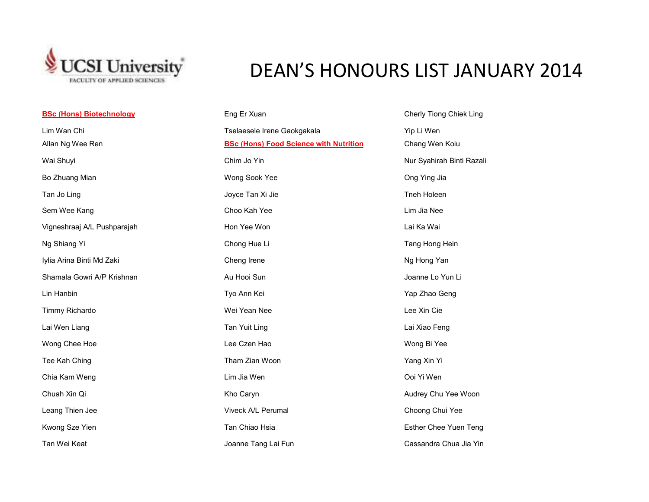

## DEAN'S HONOURS LIST JANUARY 2014

| <b>BSc (Hons) Biotechnology</b> | Eng Er Xuan                                   | Cherly Tiong Chiek Ling   |
|---------------------------------|-----------------------------------------------|---------------------------|
| Lim Wan Chi                     | Tselaesele Irene Gaokgakala                   | Yip Li Wen                |
| Allan Ng Wee Ren                | <b>BSc (Hons) Food Science with Nutrition</b> | Chang Wen Koiu            |
| Wai Shuyi                       | Chim Jo Yin                                   | Nur Syahirah Binti Razali |
| Bo Zhuang Mian                  | Wong Sook Yee                                 | Ong Ying Jia              |
| Tan Jo Ling                     | Joyce Tan Xi Jie                              | Tneh Holeen               |
| Sem Wee Kang                    | Choo Kah Yee                                  | Lim Jia Nee               |
| Vigneshraaj A/L Pushparajah     | Hon Yee Won                                   | Lai Ka Wai                |
| Ng Shiang Yi                    | Chong Hue Li                                  | Tang Hong Hein            |
| Iylia Arina Binti Md Zaki       | Cheng Irene                                   | Ng Hong Yan               |
| Shamala Gowri A/P Krishnan      | Au Hooi Sun                                   | Joanne Lo Yun Li          |
| Lin Hanbin                      | Tyo Ann Kei                                   | Yap Zhao Geng             |
| Timmy Richardo                  | Wei Yean Nee                                  | Lee Xin Cie               |
| Lai Wen Liang                   | Tan Yuit Ling                                 | Lai Xiao Feng             |
| Wong Chee Hoe                   | Lee Czen Hao                                  | Wong Bi Yee               |
| Tee Kah Ching                   | Tham Zian Woon                                | Yang Xin Yi               |
| Chia Kam Weng                   | Lim Jia Wen                                   | Ooi Yi Wen                |
| Chuah Xin Qi                    | Kho Caryn                                     | Audrey Chu Yee Woon       |
| Leang Thien Jee                 | Viveck A/L Perumal                            | Choong Chui Yee           |
| Kwong Sze Yien                  | Tan Chiao Hsia                                | Esther Chee Yuen Teng     |
| Tan Wei Keat                    | Joanne Tang Lai Fun                           | Cassandra Chua Jia Yin    |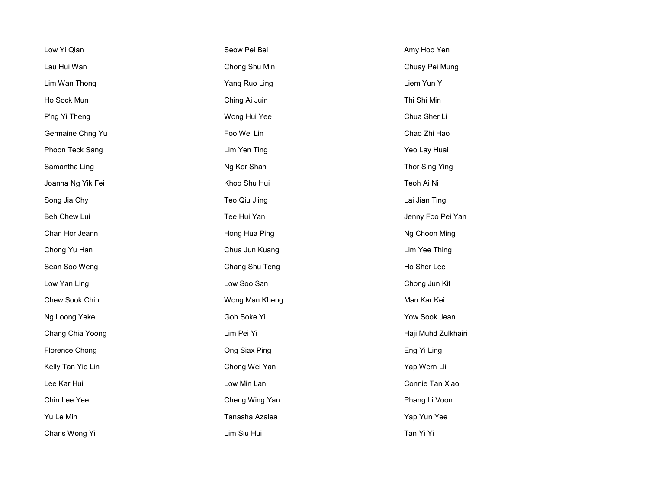| Low Yi Qian       | Seow Pei Bei   | Amy Hoo Yen         |
|-------------------|----------------|---------------------|
| Lau Hui Wan       | Chong Shu Min  | Chuay Pei Mung      |
| Lim Wan Thong     | Yang Ruo Ling  | Liem Yun Yi         |
| Ho Sock Mun       | Ching Ai Juin  | Thi Shi Min         |
| P'ng Yi Theng     | Wong Hui Yee   | Chua Sher Li        |
| Germaine Chng Yu  | Foo Wei Lin    | Chao Zhi Hao        |
| Phoon Teck Sang   | Lim Yen Ting   | Yeo Lay Huai        |
| Samantha Ling     | Ng Ker Shan    | Thor Sing Ying      |
| Joanna Ng Yik Fei | Khoo Shu Hui   | Teoh Ai Ni          |
| Song Jia Chy      | Teo Qiu Jiing  | Lai Jian Ting       |
| Beh Chew Lui      | Tee Hui Yan    | Jenny Foo Pei Yan   |
| Chan Hor Jeann    | Hong Hua Ping  | Ng Choon Ming       |
| Chong Yu Han      | Chua Jun Kuang | Lim Yee Thing       |
| Sean Soo Weng     | Chang Shu Teng | Ho Sher Lee         |
| Low Yan Ling      | Low Soo San    | Chong Jun Kit       |
| Chew Sook Chin    | Wong Man Kheng | Man Kar Kei         |
| Ng Loong Yeke     | Goh Soke Yi    | Yow Sook Jean       |
| Chang Chia Yoong  | Lim Pei Yi     | Haji Muhd Zulkhairi |
| Florence Chong    | Ong Siax Ping  | Eng Yi Ling         |
| Kelly Tan Yie Lin | Chong Wei Yan  | Yap Wern Lli        |
| Lee Kar Hui       | Low Min Lan    | Connie Tan Xiao     |
| Chin Lee Yee      | Cheng Wing Yan | Phang Li Voon       |
| Yu Le Min         | Tanasha Azalea | Yap Yun Yee         |
| Charis Wong Yi    | Lim Siu Hui    | Tan Yi Yi           |